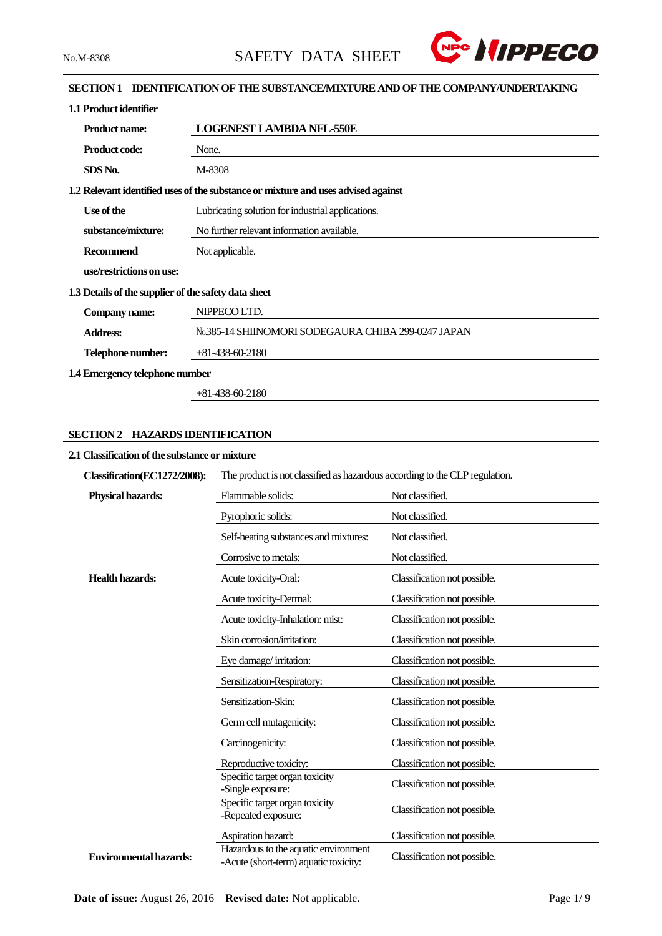

# **SECTION 1 IDENTIFICATION OF THE SUBSTANCE/MIXTURE AND OF THE COMPANY/UNDERTAKING**

| 1.1 Product identifier                               |                                                                                   |
|------------------------------------------------------|-----------------------------------------------------------------------------------|
| <b>Product name:</b>                                 | <b>LOGENEST LAMBDA NFL-550E</b>                                                   |
| <b>Product code:</b>                                 | None.                                                                             |
| SDS No.                                              | M-8308                                                                            |
|                                                      | 1.2 Relevant identified uses of the substance or mixture and uses advised against |
| Use of the                                           | Lubricating solution for industrial applications.                                 |
| substance/mixture:                                   | No further relevant information available.                                        |
| <b>Recommend</b>                                     | Not applicable.                                                                   |
| use/restrictions on use:                             |                                                                                   |
| 1.3 Details of the supplier of the safety data sheet |                                                                                   |
| Company name:                                        | NIPPECO LTD.                                                                      |
| <b>Address:</b>                                      | No.385-14 SHIINOMORI SODEGAURA CHIBA 299-0247 JAPAN                               |
| Telephone number:                                    | $+81-438-60-2180$                                                                 |
| 1.4 Emergency telephone number                       |                                                                                   |

+81-438-60-2180

# **SECTION 2 HAZARDS IDENTIFICATION**

## **2.1 Classification of the substance or mixture**

| Classification(EC1272/2008):  | The product is not classified as hazardous according to the CLP regulation.   |                              |  |  |
|-------------------------------|-------------------------------------------------------------------------------|------------------------------|--|--|
| <b>Physical hazards:</b>      | Flammable solids:                                                             | Not classified.              |  |  |
|                               | Pyrophoric solids:                                                            | Not classified.              |  |  |
|                               | Self-heating substances and mixtures:                                         | Not classified.              |  |  |
|                               | Corrosive to metals:                                                          | Not classified.              |  |  |
| <b>Health hazards:</b>        | Acute toxicity-Oral:                                                          | Classification not possible. |  |  |
|                               | Acute toxicity-Dermal:                                                        | Classification not possible. |  |  |
|                               | Acute toxicity-Inhalation: mist:                                              | Classification not possible. |  |  |
|                               | Skin corrosion/irritation:                                                    | Classification not possible. |  |  |
|                               | Eye damage/irritation:                                                        | Classification not possible. |  |  |
|                               | Sensitization-Respiratory:                                                    | Classification not possible. |  |  |
|                               | Sensitization-Skin:                                                           | Classification not possible. |  |  |
|                               | Germ cell mutagenicity:                                                       | Classification not possible. |  |  |
|                               | Carcinogenicity:                                                              | Classification not possible. |  |  |
|                               | Reproductive toxicity:                                                        | Classification not possible. |  |  |
|                               | Specific target organ toxicity<br>-Single exposure:                           | Classification not possible. |  |  |
|                               | Specific target organ toxicity<br>-Repeated exposure:                         | Classification not possible. |  |  |
|                               | Aspiration hazard:                                                            | Classification not possible. |  |  |
| <b>Environmental hazards:</b> | Hazardous to the aquatic environment<br>-Acute (short-term) aquatic toxicity: | Classification not possible. |  |  |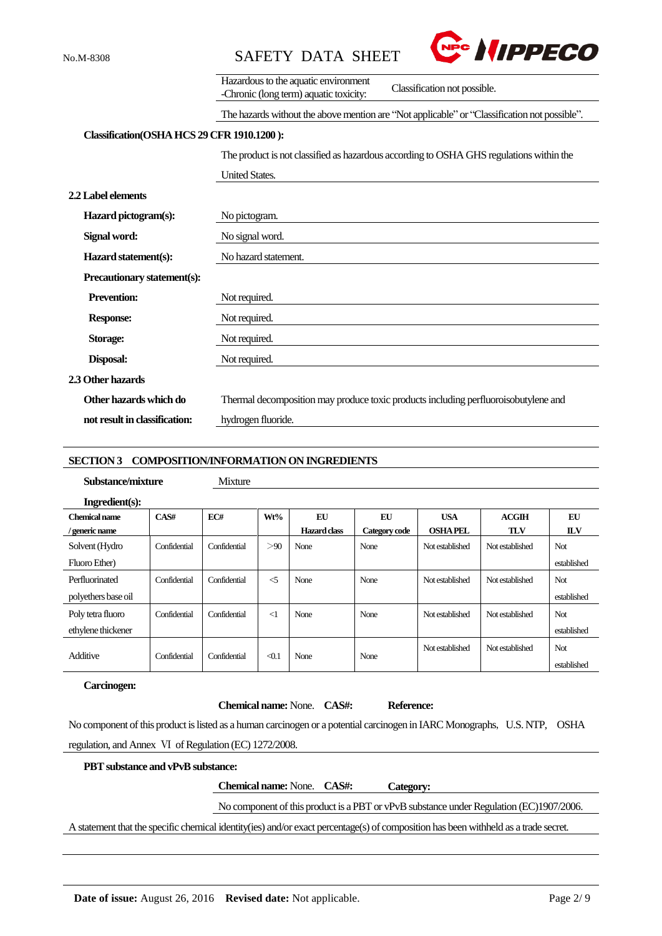



|                                            | Hazardous to the aquatic environment<br>Classification not possible.                         |
|--------------------------------------------|----------------------------------------------------------------------------------------------|
|                                            | -Chronic (long term) aquatic toxicity:                                                       |
|                                            | The hazards without the above mention are "Not applicable" or "Classification not possible". |
| Classification(OSHA HCS 29 CFR 1910.1200): |                                                                                              |
|                                            | The product is not classified as hazardous according to OSHA GHS regulations within the      |
|                                            | <b>United States.</b>                                                                        |
| 2.2 Label elements                         |                                                                                              |
| Hazard pictogram(s):                       | No pictogram.                                                                                |
| Signal word:                               | No signal word.                                                                              |
| Hazard statement(s):                       | No hazard statement.                                                                         |
| Precautionary statement(s):                |                                                                                              |
| <b>Prevention:</b>                         | Not required.                                                                                |
| <b>Response:</b>                           | Not required.                                                                                |
| Storage:                                   | Not required.                                                                                |
| Disposal:                                  | Not required.                                                                                |
| 2.3 Other hazards                          |                                                                                              |
| Other hazards which do                     | Thermal decomposition may produce toxic products including perfluoroisobutylene and          |
| not result in classification:              | hydrogen fluoride.                                                                           |

## **SECTION 3 COMPOSITION/INFORMATION ON INGREDIENTS**

## **Substance/mixture** Mixture

| Ingredient(s): |  |
|----------------|--|

| Chemical name<br>/ generic name | CAS#         | EC#          | Wt%                 | EU<br>Hazard class | EU<br>Category code | <b>USA</b><br><b>OSHAPEL</b> | ACGIH<br><b>TLV</b> | EU<br><b>ILV</b> |
|---------------------------------|--------------|--------------|---------------------|--------------------|---------------------|------------------------------|---------------------|------------------|
|                                 |              |              |                     |                    |                     |                              |                     |                  |
| Solvent (Hydro                  | Confidential | Confidential | >90                 | None               | None                | Not established              | Not established     | Not              |
| Fluoro Ether)                   |              |              |                     |                    |                     |                              |                     | established      |
| Perfluorinated                  | Confidential | Confidential | $\leq$              | None               | None                | Not established              | Not established     | Not              |
| polyethers base oil             |              |              |                     |                    |                     |                              |                     | established      |
| Poly tetra fluoro               | Confidential | Confidential | $\leq$ 1            | None               | None                | Not established              | Not established     | Not              |
| ethylene thickener              |              |              |                     |                    |                     |                              |                     | established      |
|                                 |              |              |                     |                    |                     | Not established              | Not established     | Not              |
| Additive                        | Confidential | Confidential | $\triangleleft$ 0.1 | None               | None                |                              |                     | established      |

## **Carcinogen:**

#### **Chemical name:** None. **CAS#: Reference:**

No component of this product is listed as a human carcinogen or a potential carcinogen in IARC Monographs, U.S. NTP, OSHA regulation, and Annex Ⅵ of Regulation (EC) 1272/2008.

## **PBT substance and vPvB substance:**

**Chemical name:** None. **CAS#: Category:**

# No component of this product is a PBT or vPvB substance under Regulation (EC)1907/2006.

A statement that the specific chemical identity(ies) and/or exact percentage(s) of composition has been withheld as a trade secret.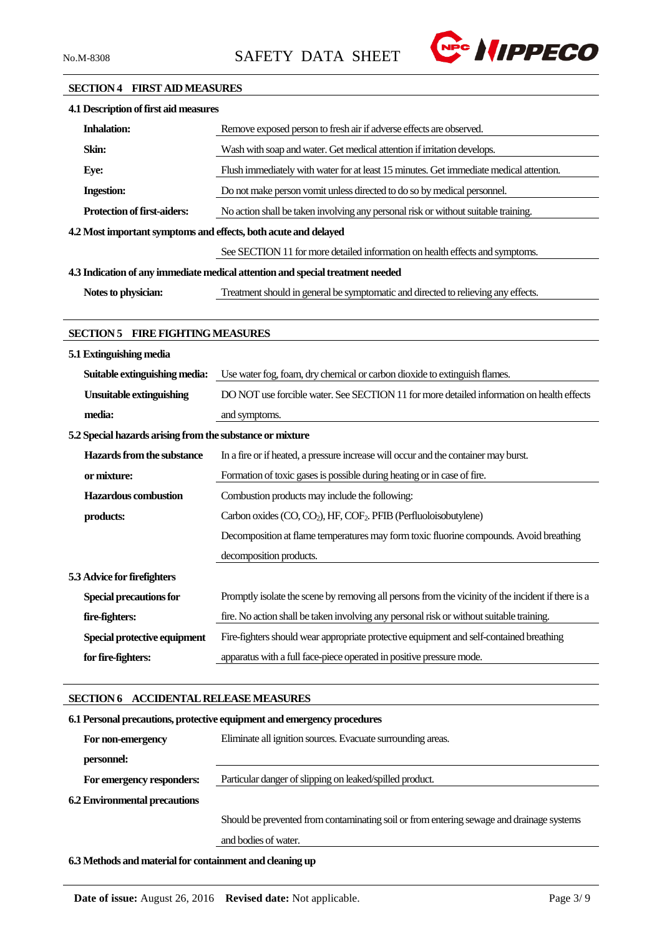

## **SECTION 4 FIRST AID MEASURES**

| 4.1 Description of first aid measures                           |                                                                                                    |
|-----------------------------------------------------------------|----------------------------------------------------------------------------------------------------|
| <b>Inhalation:</b>                                              | Remove exposed person to fresh air if adverse effects are observed.                                |
| Skin:                                                           | Wash with soap and water. Get medical attention if irritation develops.                            |
| Eye:                                                            | Flush immediately with water for at least 15 minutes. Get immediate medical attention.             |
| <b>Ingestion:</b>                                               | Do not make person vomit unless directed to do so by medical personnel.                            |
| Protection of first-aiders:                                     | No action shall be taken involving any personal risk or without suitable training.                 |
| 4.2 Most important symptoms and effects, both acute and delayed |                                                                                                    |
|                                                                 | See SECTION 11 for more detailed information on health effects and symptoms.                       |
|                                                                 | 4.3 Indication of any immediate medical attention and special treatment needed                     |
| Notes to physician:                                             | Treatment should in general be symptomatic and directed to relieving any effects.                  |
|                                                                 |                                                                                                    |
| <b>SECTION 5 FIRE FIGHTING MEASURES</b>                         |                                                                                                    |
| 5.1 Extinguishing media                                         |                                                                                                    |
| Suitable extinguishing media:                                   | Use water fog, foam, dry chemical or carbon dioxide to extinguish flames.                          |
| <b>Unsuitable extinguishing</b>                                 | DO NOT use forcible water. See SECTION 11 for more detailed information on health effects          |
| media:                                                          | and symptoms.                                                                                      |
| 5.2 Special hazards arising from the substance or mixture       |                                                                                                    |
| Hazards from the substance                                      | In a fire or if heated, a pressure increase will occur and the container may burst.                |
| or mixture:                                                     | Formation of toxic gases is possible during heating or in case of fire.                            |
| <b>Hazardous</b> combustion                                     | Combustion products may include the following:                                                     |
| products:                                                       | Carbon oxides (CO, CO <sub>2</sub> ), HF, COF <sub>2</sub> . PFIB (Perfluoloisobutylene)           |
|                                                                 | Decomposition at flame temperatures may form toxic fluorine compounds. Avoid breathing             |
|                                                                 | decomposition products.                                                                            |
| 5.3 Advice for firefighters                                     |                                                                                                    |
| <b>Special precautions for</b>                                  | Promptly isolate the scene by removing all persons from the vicinity of the incident if there is a |
| fire-fighters:                                                  | fire. No action shall be taken involving any personal risk or without suitable training.           |
| Special protective equipment                                    | Fire-fighters should wear appropriate protective equipment and self-contained breathing            |
| for fire-fighters:                                              | apparatus with a full face-piece operated in positive pressure mode.                               |
|                                                                 |                                                                                                    |
| SECTION 6 ACCIDENTAL RELEASE MEASURES                           |                                                                                                    |
|                                                                 | 6.1 Personal precautions, protective equipment and emergency procedures                            |
| For non-emergency                                               | Eliminate all ignition sources. Evacuate surrounding areas.                                        |
| personnel:                                                      |                                                                                                    |
| For emergency responders:                                       | Particular danger of slipping on leaked/spilled product.                                           |
| <b>6.2 Environmental precautions</b>                            |                                                                                                    |

Should be prevented from contaminating soil or from entering sewage and drainage systems and bodies of water.

**6.3 Methods and material for containment and cleaning up**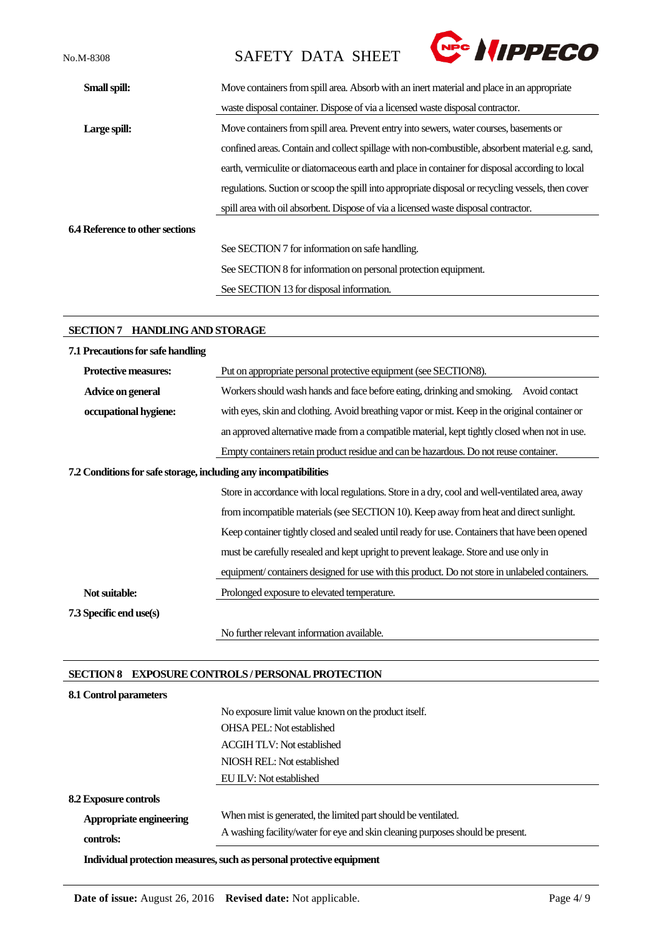No.M-8308 SAFETY DATA SHEET



| Small spill:                    | Move containers from spill area. Absorb with an inert material and place in an appropriate         |
|---------------------------------|----------------------------------------------------------------------------------------------------|
|                                 | waste disposal container. Dispose of via a licensed waste disposal contractor.                     |
| Large spill:                    | Move containers from spill area. Prevent entry into sewers, water courses, basements or            |
|                                 | confined areas. Contain and collect spillage with non-combustible, absorbent material e.g. sand,   |
|                                 | earth, vermiculite or diatomaceous earth and place in container for disposal according to local    |
|                                 | regulations. Suction or scoop the spill into appropriate disposal or recycling vessels, then cover |
|                                 | spill area with oil absorbent. Dispose of via a licensed waste disposal contractor.                |
| 6.4 Reference to other sections |                                                                                                    |
|                                 | See SECTION 7 for information on safe handling.                                                    |
|                                 | See SECTION 8 for information on personal protection equipment.                                    |
|                                 | See SECTION 13 for disposal information.                                                           |

# **SECTION 7 HANDLING AND STORAGE**

| 7.1 Precautions for safe handling                                |                                                                                                 |
|------------------------------------------------------------------|-------------------------------------------------------------------------------------------------|
| Protective measures:                                             | Put on appropriate personal protective equipment (see SECTION8).                                |
| Advice on general                                                | Workers should wash hands and face before eating, drinking and smoking. Avoid contact           |
| occupational hygiene:                                            | with eyes, skin and clothing. Avoid breathing vapor or mist. Keep in the original container or  |
|                                                                  | an approved alternative made from a compatible material, kept tightly closed when not in use.   |
|                                                                  | Empty containers retain product residue and can be hazardous. Do not reuse container.           |
| 7.2 Conditions for safe storage, including any incompatibilities |                                                                                                 |
|                                                                  | Store in accordance with local regulations. Store in a dry, cool and well-ventilated area, away |
|                                                                  | from incompatible materials (see SECTION 10). Keep away from heat and direct sunlight.          |
|                                                                  | Keep container tightly closed and sealed until ready for use. Containers that have been opened  |
|                                                                  | must be carefully resealed and kept upright to prevent leakage. Store and use only in           |
|                                                                  | equipment/containers designed for use with this product. Do not store in unlabeled containers.  |
| Not suitable:                                                    | Prolonged exposure to elevated temperature.                                                     |
| 7.3 Specific end use(s)                                          |                                                                                                 |
|                                                                  | No further relevant information available.                                                      |

# **SECTION 8 EXPOSURE CONTROLS / PERSONAL PROTECTION**

| 8.1 Control parameters       |                                                                                |
|------------------------------|--------------------------------------------------------------------------------|
|                              | No exposure limit value known on the product itself.                           |
|                              | <b>OHSA PEL:</b> Not established                                               |
|                              | <b>ACGIH TLV: Not established</b>                                              |
|                              | NIOSH REL: Not established                                                     |
|                              | EU ILV: Not established                                                        |
| <b>8.2 Exposure controls</b> |                                                                                |
| Appropriate engineering      | When mist is generated, the limited part should be ventilated.                 |
| controls:                    | A washing facility/water for eye and skin cleaning purposes should be present. |
|                              | Individual protection measures, such as personal protective equipment          |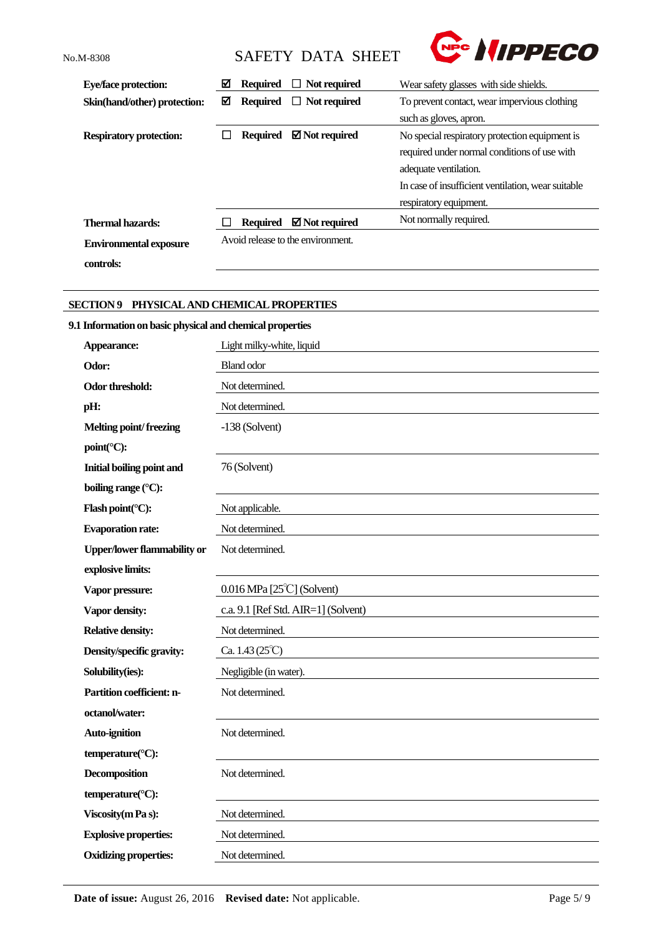**controls:**

No.M-8308 SAFETY DATA SHEET



| <b>Eye/face protection:</b>    | ☑ | <b>Required</b> | $\Box$ Not required               | Wear safety glasses with side shields.             |  |  |
|--------------------------------|---|-----------------|-----------------------------------|----------------------------------------------------|--|--|
| Skin(hand/other) protection:   | ☑ | <b>Required</b> | $\Box$ Not required               | To prevent contact, wear impervious clothing       |  |  |
|                                |   |                 |                                   | such as gloves, apron.                             |  |  |
| <b>Respiratory protection:</b> |   | <b>Required</b> | $\boxtimes$ Not required          | No special respiratory protection equipment is     |  |  |
|                                |   |                 |                                   | required under normal conditions of use with       |  |  |
|                                |   |                 |                                   | adequate ventilation.                              |  |  |
|                                |   |                 |                                   | In case of insufficient ventilation, wear suitable |  |  |
|                                |   |                 |                                   | respiratory equipment.                             |  |  |
| Thermal hazards:               |   | Required        | $\boxtimes$ Not required          | Not normally required.                             |  |  |
| <b>Environmental exposure</b>  |   |                 | Avoid release to the environment. |                                                    |  |  |

# **SECTION 9 PHYSICAL AND CHEMICAL PROPERTIES**

# **9.1 Information on basic physical and chemical properties**

| Appearance:                        | Light milky-white, liquid           |
|------------------------------------|-------------------------------------|
| Odor:                              | <b>Bland odor</b>                   |
| Odor threshold:                    | Not determined.                     |
| pH:                                | Not determined.                     |
| <b>Melting point/freezing</b>      | $-138$ (Solvent)                    |
| point(°C):                         |                                     |
| <b>Initial boiling point and</b>   | 76 (Solvent)                        |
| boiling range (°C):                |                                     |
| Flash point(°C):                   | Not applicable.                     |
| <b>Evaporation rate:</b>           | Not determined.                     |
| <b>Upper/lower flammability or</b> | Not determined.                     |
| explosive limits:                  |                                     |
| Vapor pressure:                    | $0.016$ MPa [25 $°C$ ] (Solvent)    |
| Vapor density:                     | c.a. 9.1 [Ref Std. AIR=1] (Solvent) |
| <b>Relative density:</b>           | Not determined.                     |
| Density/specific gravity:          | Ca. $1.43(25^{\circ}C)$             |
| Solubility(ies):                   | Negligible (in water).              |
| Partition coefficient: n-          | Not determined.                     |
| octanol/water:                     |                                     |
| <b>Auto-ignition</b>               | Not determined.                     |
| temperature(°C):                   |                                     |
| <b>Decomposition</b>               | Not determined.                     |
| temperature(°C):                   |                                     |
| Viscosity (m Pa s):                | Not determined.                     |
| <b>Explosive properties:</b>       | Not determined.                     |
| <b>Oxidizing properties:</b>       | Not determined.                     |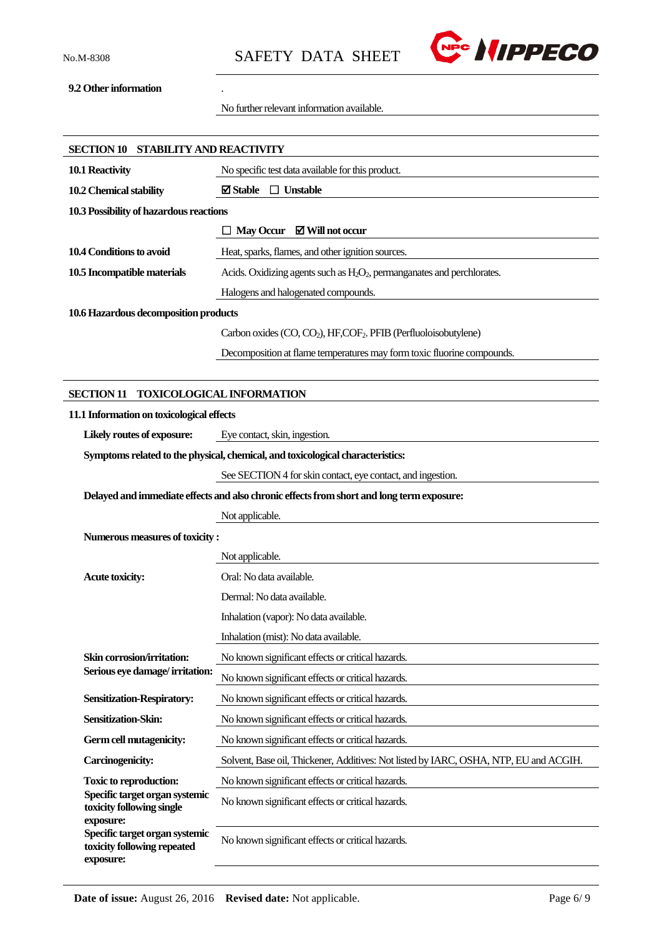

# **9.2 Other information** .

No further relevant information available.

| SECTION 10 STABILITY AND REACTIVITY                                                     |                                                                                           |
|-----------------------------------------------------------------------------------------|-------------------------------------------------------------------------------------------|
| 10.1 Reactivity                                                                         | No specific test data available for this product.                                         |
| 10.2 Chemical stability                                                                 | <b>⊠</b> Stable<br>$\Box$ Unstable                                                        |
| 10.3 Possibility of hazardous reactions                                                 |                                                                                           |
|                                                                                         | $\Box$ May Occur $\Box$ Will not occur                                                    |
| 10.4 Conditions to avoid                                                                | Heat, sparks, flames, and other ignition sources.                                         |
| 10.5 Incompatible materials                                                             | Acids. Oxidizing agents such as $H_2O_2$ , permanganates and perchlorates.                |
|                                                                                         | Halogens and halogenated compounds.                                                       |
| 10.6 Hazardous decomposition products                                                   |                                                                                           |
|                                                                                         | Carbon oxides (CO, CO <sub>2</sub> ), HF, COF <sub>2</sub> . PFIB (Perfluoloisobutylene)  |
|                                                                                         | Decomposition at flame temperatures may form toxic fluorine compounds.                    |
|                                                                                         |                                                                                           |
| <b>SECTION 11</b>                                                                       | <b>TOXICOLOGICAL INFORMATION</b>                                                          |
| 11.1 Information on toxicological effects                                               |                                                                                           |
| Likely routes of exposure:                                                              | Eye contact, skin, ingestion.                                                             |
|                                                                                         | Symptoms related to the physical, chemical, and toxicological characteristics:            |
|                                                                                         | See SECTION 4 for skin contact, eye contact, and ingestion.                               |
|                                                                                         | Delayed and immediate effects and also chronic effects from short and long term exposure: |
|                                                                                         | Not applicable.                                                                           |
| Numerous measures of toxicity:                                                          |                                                                                           |
|                                                                                         | Not applicable.                                                                           |
| <b>Acute toxicity:</b>                                                                  | Oral: No data available.                                                                  |
|                                                                                         | Dermal: No data available.                                                                |
|                                                                                         | Inhalation (vapor): No data available.                                                    |
|                                                                                         | Inhalation (mist): No data available.                                                     |
| Skin corrosion/irritation:                                                              | No known significant effects or critical hazards.                                         |
| Serious eye damage/irritation:                                                          | No known significant effects or critical hazards.                                         |
| <b>Sensitization-Respiratory:</b>                                                       | No known significant effects or critical hazards.                                         |
| Sensitization-Skin:                                                                     | No known significant effects or critical hazards.                                         |
| Germ cell mutagenicity:                                                                 | No known significant effects or critical hazards.                                         |
| <b>Carcinogenicity:</b>                                                                 | Solvent, Base oil, Thickener, Additives: Not listed by IARC, OSHA, NTP, EU and ACGIH.     |
| <b>Toxic to reproduction:</b>                                                           | No known significant effects or critical hazards.                                         |
| Specific target organ systemic<br>toxicity following single                             | No known significant effects or critical hazards.                                         |
| exposure:<br>Specific target organ systemic<br>toxicity following repeated<br>exposure: | No known significant effects or critical hazards.                                         |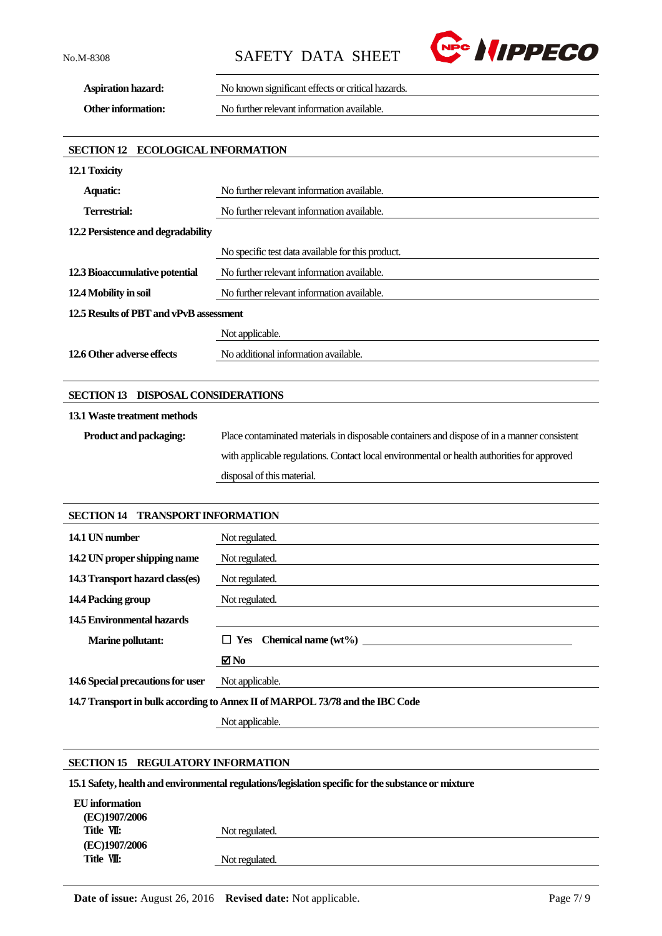No.M-8308 SAFETY DATA SHEET



**Aspiration hazard:** No known significant effects or critical hazards.

**Other information:** No further relevant information available.

# **SECTION 12 ECOLOGICAL INFORMATION**

| 12.1 Toxicity                           |                                                   |  |
|-----------------------------------------|---------------------------------------------------|--|
| <b>Aquatic:</b>                         | No further relevant information available.        |  |
| Terrestrial:                            | No further relevant information available.        |  |
| 12.2 Persistence and degradability      |                                                   |  |
|                                         | No specific test data available for this product. |  |
| 12.3 Bioaccumulative potential          | No further relevant information available.        |  |
| 12.4 Mobility in soil                   | No further relevant information available.        |  |
| 12.5 Results of PBT and vPvB assessment |                                                   |  |
|                                         | Not applicable.                                   |  |
| 12.6 Other adverse effects              | No additional information available.              |  |

## **SECTION 13 DISPOSAL CONSIDERATIONS**

#### **13.1Waste treatment methods**

**Product and packaging:** Place contaminated materials in disposable containers and dispose of in a manner consistent with applicable regulations. Contact local environmental or health authorities for approved disposal of this material.

## **SECTION 14 TRANSPORT INFORMATION**

| 14.1 UN number                                                                | Not regulated.                 |  |
|-------------------------------------------------------------------------------|--------------------------------|--|
| 14.2 UN proper shipping name                                                  | Not regulated.                 |  |
| 14.3 Transport hazard class(es)                                               | Not regulated.                 |  |
| 14.4 Packing group                                                            | Not regulated.                 |  |
| 14.5 Environmental hazards                                                    |                                |  |
| <b>Marine pollutant:</b>                                                      | $\Box$ Yes Chemical name (wt%) |  |
|                                                                               | $\blacksquare$ No              |  |
| 14.6 Special precautions for user                                             | Not applicable.                |  |
| 14.7 Transport in bulk according to Annex II of MARPOL 73/78 and the IBC Code |                                |  |

Not applicable.

## **SECTION 15 REGULATORY INFORMATION**

**15.1 Safety, health and environmental regulations/legislation specific for the substance or mixture**

| EU information |                |  |
|----------------|----------------|--|
| (EC)1907/2006  |                |  |
| Title VII:     | Not regulated. |  |
| (EC)1907/2006  |                |  |
| Title VII:     | Not regulated. |  |
|                |                |  |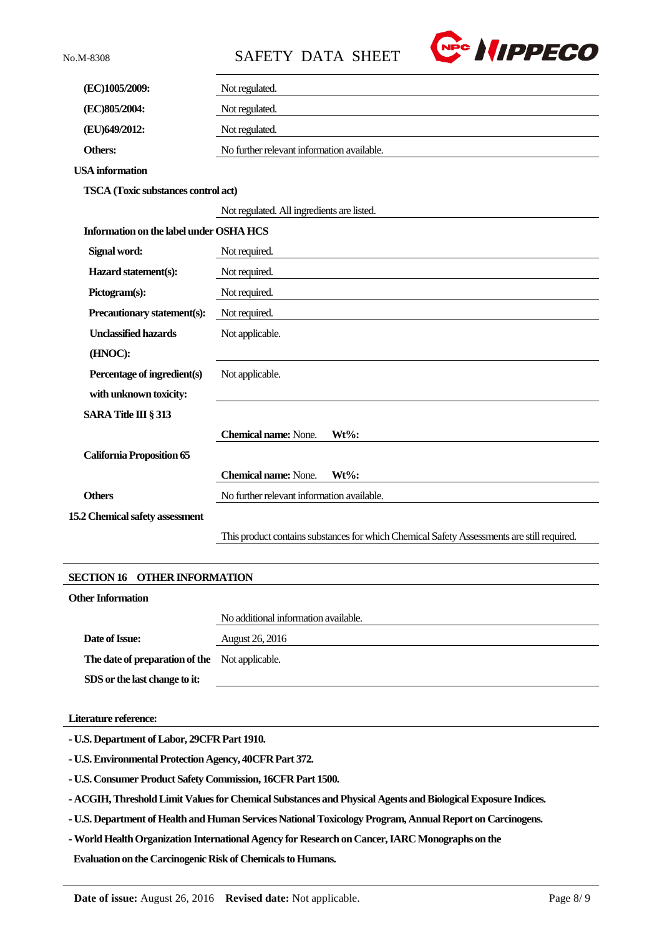No.M-8308 SAFETY DATA SHEET



| (EC)1005/2009:                             | Not regulated.                                                                             |  |  |
|--------------------------------------------|--------------------------------------------------------------------------------------------|--|--|
| (EC)805/2004:                              | Not regulated.                                                                             |  |  |
| (EU)649/2012:                              | Not regulated.                                                                             |  |  |
| Others:                                    | No further relevant information available.                                                 |  |  |
| <b>USA</b> information                     |                                                                                            |  |  |
| <b>TSCA</b> (Toxic substances control act) |                                                                                            |  |  |
|                                            | Not regulated. All ingredients are listed.                                                 |  |  |
| Information on the label under OSHA HCS    |                                                                                            |  |  |
| Signal word:                               | Not required.                                                                              |  |  |
| Hazard statement(s):                       | Not required.                                                                              |  |  |
| Pictogram(s):                              | Not required.                                                                              |  |  |
| Precautionary statement(s):                | Not required.                                                                              |  |  |
| <b>Unclassified hazards</b>                | Not applicable.                                                                            |  |  |
| (HNOC):                                    |                                                                                            |  |  |
| Percentage of ingredient(s)                | Not applicable.                                                                            |  |  |
| with unknown toxicity:                     |                                                                                            |  |  |
| SARA Title III § 313                       |                                                                                            |  |  |
|                                            | <b>Chemical name: None.</b><br>$Wt\%$ :                                                    |  |  |
| <b>California Proposition 65</b>           |                                                                                            |  |  |
|                                            | <b>Chemical name: None.</b><br>Wt%:                                                        |  |  |
| <b>Others</b>                              | No further relevant information available.                                                 |  |  |
| 15.2 Chemical safety assessment            |                                                                                            |  |  |
|                                            | This product contains substances for which Chemical Safety Assessments are still required. |  |  |
|                                            |                                                                                            |  |  |
| <b>SECTION 16 OTHER INFORMATION</b>        |                                                                                            |  |  |

## **Other Information**

No additional information available. **Date of Issue:** August 26, 2016 **The date of preparation of the**  Not applicable. **SDS or the last change to it:**

#### **Literature reference:**

**- U.S. Department of Labor, 29CFR Part 1910.**

**- U.S. Environmental Protection Agency, 40CFR Part 372.**

**- U.S. Consumer Product Safety Commission, 16CFR Part 1500.**

**- ACGIH, Threshold Limit Values for Chemical Substances and Physical Agents and Biological Exposure Indices.**

**- U.S. Department of Health and Human Services National Toxicology Program, Annual Report on Carcinogens.**

**-World Health Organization International Agency for Research on Cancer, IARC Monographs on the**

**Evaluation on the Carcinogenic Risk of Chemicals to Humans.**